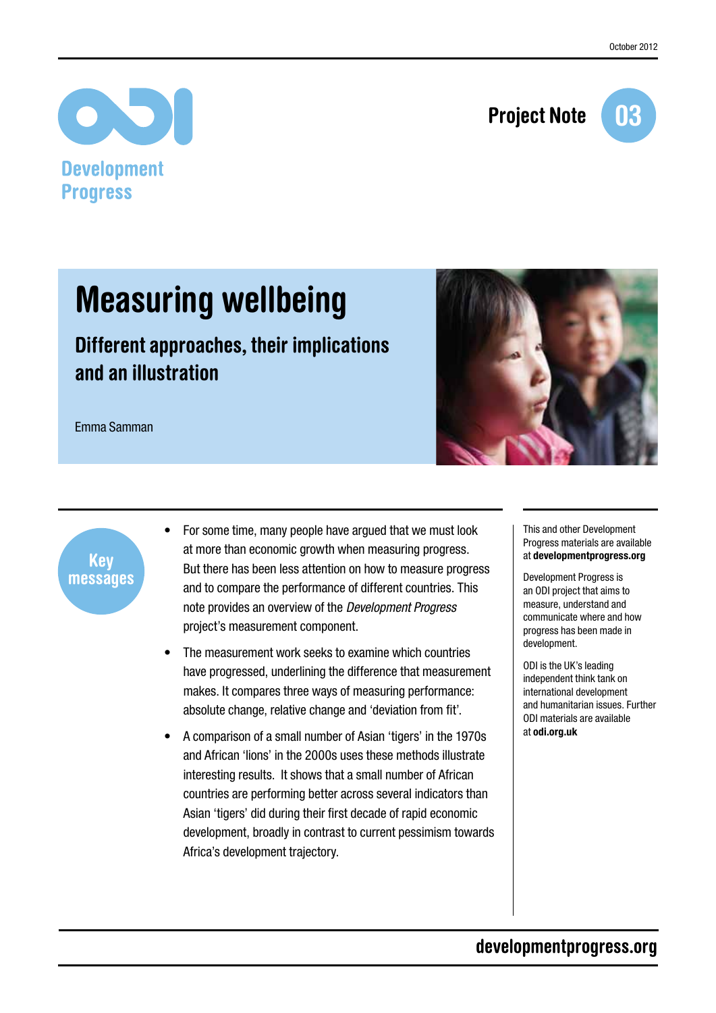





# Measuring wellbeing

Different approaches, their implications and an illustration

Emma Samman





- For some time, many people have argued that we must look at more than economic growth when measuring progress. But there has been less attention on how to measure progress and to compare the performance of different countries. This note provides an overview of the *Development Progress* project's measurement component.
- The measurement work seeks to examine which countries have progressed, underlining the difference that measurement makes. It compares three ways of measuring performance: absolute change, relative change and 'deviation from fit'.
- A comparison of a small number of Asian 'tigers' in the 1970s and African 'lions' in the 2000s uses these methods illustrate interesting results. It shows that a small number of African countries are performing better across several indicators than Asian 'tigers' did during their first decade of rapid economic development, broadly in contrast to current pessimism towards Africa's development trajectory.

This and other Development Progress materials are available at developmentprogress.org

Development Progress is an ODI project that aims to measure, understand and communicate where and how progress has been made in development.

ODI is the UK's leading independent think tank on international development and humanitarian issues. Further ODI materials are available at odi.org.uk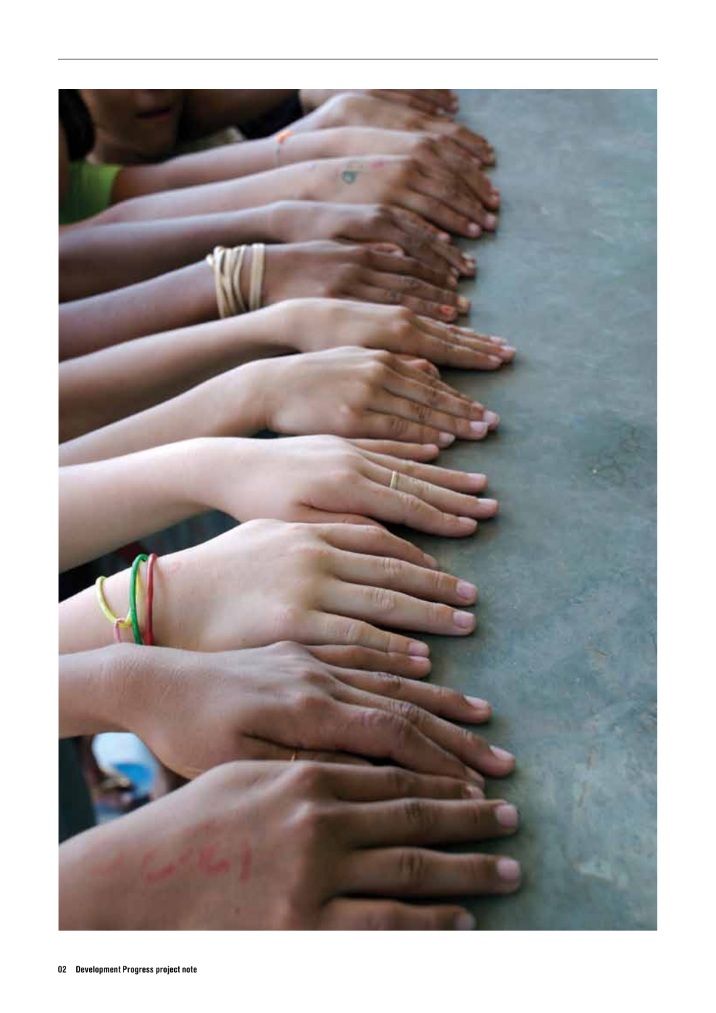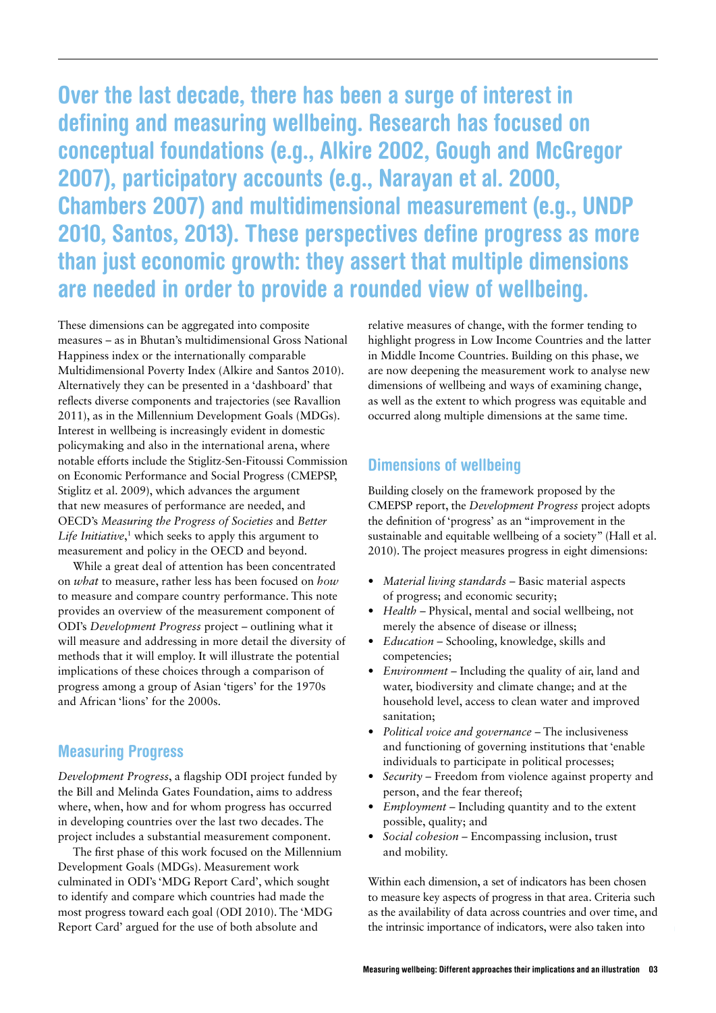Over the last decade, there has been a surge of interest in defining and measuring wellbeing. Research has focused on conceptual foundations (e.g., Alkire 2002, Gough and McGregor 2007), participatory accounts (e.g., Narayan et al. 2000, Chambers 2007) and multidimensional measurement (e.g., UNDP 2010, Santos, 2013). These perspectives define progress as more than just economic growth: they assert that multiple dimensions are needed in order to provide a rounded view of wellbeing.

These dimensions can be aggregated into composite measures – as in Bhutan's multidimensional Gross National Happiness index or the internationally comparable Multidimensional Poverty Index (Alkire and Santos 2010). Alternatively they can be presented in a 'dashboard' that reflects diverse components and trajectories (see Ravallion 2011), as in the Millennium Development Goals (MDGs). Interest in wellbeing is increasingly evident in domestic policymaking and also in the international arena, where notable efforts include the Stiglitz-Sen-Fitoussi Commission on Economic Performance and Social Progress (CMEPSP, Stiglitz et al. 2009), which advances the argument that new measures of performance are needed, and OECD's *Measuring the Progress of Societies* and *Better*  Life Initiative,<sup>1</sup> which seeks to apply this argument to measurement and policy in the OECD and beyond.

While a great deal of attention has been concentrated on *what* to measure, rather less has been focused on *how*  to measure and compare country performance. This note provides an overview of the measurement component of ODI's *Development Progress* project – outlining what it will measure and addressing in more detail the diversity of methods that it will employ. It will illustrate the potential implications of these choices through a comparison of progress among a group of Asian 'tigers' for the 1970s and African 'lions' for the 2000s.

### Measuring Progress

*Development Progress*, a flagship ODI project funded by the Bill and Melinda Gates Foundation, aims to address where, when, how and for whom progress has occurred in developing countries over the last two decades. The project includes a substantial measurement component.

The first phase of this work focused on the Millennium Development Goals (MDGs). Measurement work culminated in ODI's 'MDG Report Card', which sought to identify and compare which countries had made the most progress toward each goal (ODI 2010). The 'MDG Report Card' argued for the use of both absolute and

relative measures of change, with the former tending to highlight progress in Low Income Countries and the latter in Middle Income Countries. Building on this phase, we are now deepening the measurement work to analyse new dimensions of wellbeing and ways of examining change, as well as the extent to which progress was equitable and occurred along multiple dimensions at the same time.

## Dimensions of wellbeing

Building closely on the framework proposed by the CMEPSP report, the *Development Progress* project adopts the definition of 'progress' as an "improvement in the sustainable and equitable wellbeing of a society" (Hall et al. 2010). The project measures progress in eight dimensions:

- **•** *Material living standards* Basic material aspects of progress; and economic security;
- **•** *Health* Physical, mental and social wellbeing, not merely the absence of disease or illness;
- **•** *Education* Schooling, knowledge, skills and competencies;
- **•** *Environment* Including the quality of air, land and water, biodiversity and climate change; and at the household level, access to clean water and improved sanitation;
- **•** *Political voice and governance* The inclusiveness and functioning of governing institutions that 'enable individuals to participate in political processes;
- **•** *Security* Freedom from violence against property and person, and the fear thereof;
- **•** *Employment* Including quantity and to the extent possible, quality; and
- **•** *Social cohesion*  Encompassing inclusion, trust and mobility.

Within each dimension, a set of indicators has been chosen to measure key aspects of progress in that area. Criteria such as the availability of data across countries and over time, and the intrinsic importance of indicators, were also taken into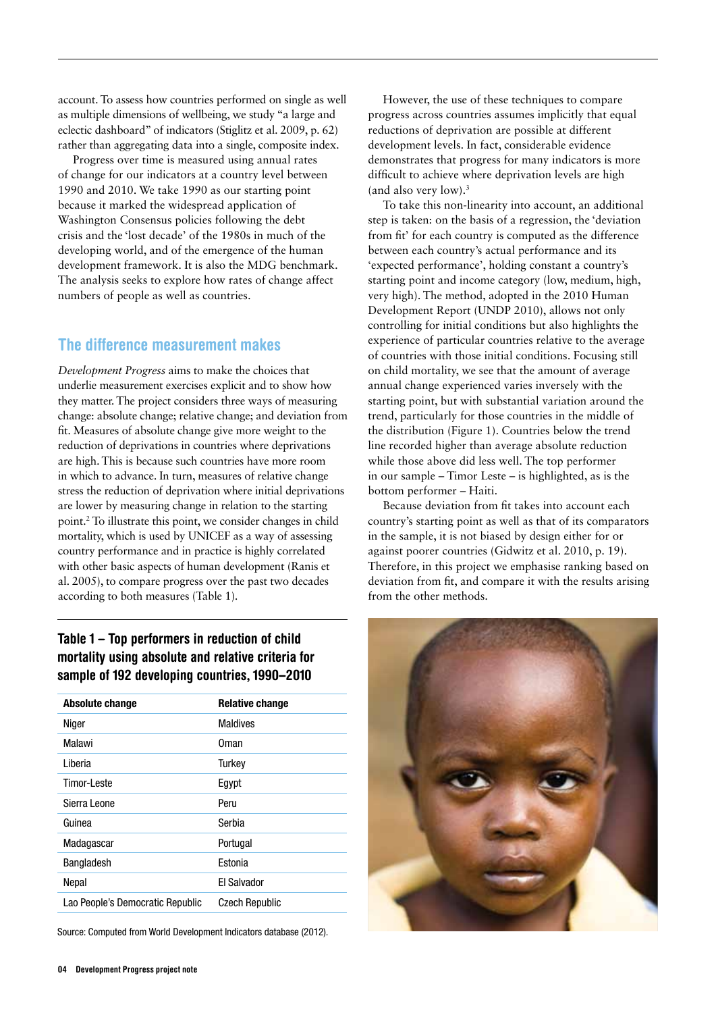account. To assess how countries performed on single as well as multiple dimensions of wellbeing, we study "a large and eclectic dashboard" of indicators (Stiglitz et al. 2009, p. 62) rather than aggregating data into a single, composite index.

Progress over time is measured using annual rates of change for our indicators at a country level between 1990 and 2010. We take 1990 as our starting point because it marked the widespread application of Washington Consensus policies following the debt crisis and the 'lost decade' of the 1980s in much of the developing world, and of the emergence of the human development framework. It is also the MDG benchmark. The analysis seeks to explore how rates of change affect numbers of people as well as countries.

# The difference measurement makes

*Development Progress* aims to make the choices that underlie measurement exercises explicit and to show how they matter. The project considers three ways of measuring change: absolute change; relative change; and deviation from fit. Measures of absolute change give more weight to the reduction of deprivations in countries where deprivations are high. This is because such countries have more room in which to advance. In turn, measures of relative change stress the reduction of deprivation where initial deprivations are lower by measuring change in relation to the starting point.2 To illustrate this point, we consider changes in child mortality, which is used by UNICEF as a way of assessing country performance and in practice is highly correlated with other basic aspects of human development (Ranis et al. 2005), to compare progress over the past two decades according to both measures (Table 1).

# Table 1 – Top performers in reduction of child mortality using absolute and relative criteria for sample of 192 developing countries, 1990–2010

| <b>Absolute change</b>           | <b>Relative change</b> |
|----------------------------------|------------------------|
| Niger                            | <b>Maldives</b>        |
| Malawi                           | 0 <sub>man</sub>       |
| Liberia                          | Turkey                 |
| Timor-I este                     | Egypt                  |
| Sierra Leone                     | Peru                   |
| Guinea                           | Serbia                 |
| Madagascar                       | Portugal               |
| <b>Bangladesh</b>                | Estonia                |
| Nepal                            | <b>FI Salvador</b>     |
| Lao People's Democratic Republic | <b>Czech Republic</b>  |

Source: Computed from World Development Indicators database (2012).

However, the use of these techniques to compare progress across countries assumes implicitly that equal reductions of deprivation are possible at different development levels. In fact, considerable evidence demonstrates that progress for many indicators is more difficult to achieve where deprivation levels are high (and also very low).3

To take this non-linearity into account, an additional step is taken: on the basis of a regression, the 'deviation from fit' for each country is computed as the difference between each country's actual performance and its 'expected performance', holding constant a country's starting point and income category (low, medium, high, very high). The method, adopted in the 2010 Human Development Report (UNDP 2010), allows not only controlling for initial conditions but also highlights the experience of particular countries relative to the average of countries with those initial conditions. Focusing still on child mortality, we see that the amount of average annual change experienced varies inversely with the starting point, but with substantial variation around the trend, particularly for those countries in the middle of the distribution (Figure 1). Countries below the trend line recorded higher than average absolute reduction while those above did less well. The top performer in our sample – Timor Leste – is highlighted, as is the bottom performer – Haiti.

Because deviation from fit takes into account each country's starting point as well as that of its comparators in the sample, it is not biased by design either for or against poorer countries (Gidwitz et al. 2010, p. 19). Therefore, in this project we emphasise ranking based on deviation from fit, and compare it with the results arising from the other methods.

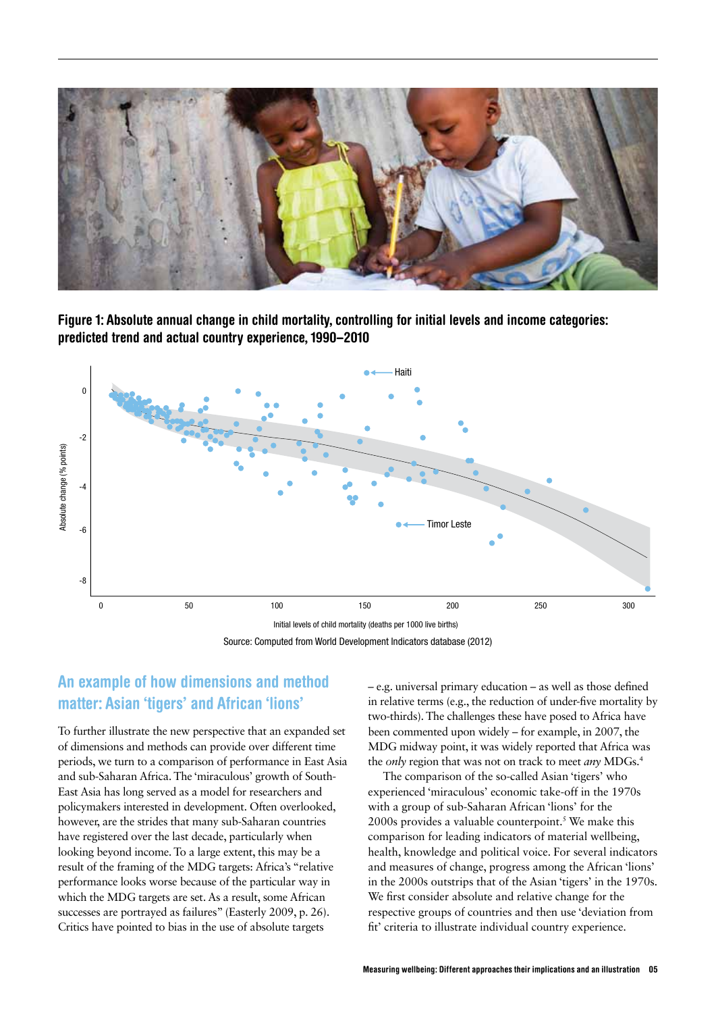

Figure 1: Absolute annual change in child mortality, controlling for initial levels and income categories: predicted trend and actual country experience, 1990–2010



Source: Computed from World Development Indicators database (2012)

# An example of how dimensions and method matter: Asian 'tigers' and African 'lions'

To further illustrate the new perspective that an expanded set of dimensions and methods can provide over different time periods, we turn to a comparison of performance in East Asia and sub-Saharan Africa. The 'miraculous' growth of South-East Asia has long served as a model for researchers and policymakers interested in development. Often overlooked, however, are the strides that many sub-Saharan countries have registered over the last decade, particularly when looking beyond income. To a large extent, this may be a result of the framing of the MDG targets: Africa's "relative performance looks worse because of the particular way in which the MDG targets are set. As a result, some African successes are portrayed as failures" (Easterly 2009, p. 26). Critics have pointed to bias in the use of absolute targets

– e.g. universal primary education – as well as those defined in relative terms (e.g., the reduction of under-five mortality by two-thirds). The challenges these have posed to Africa have been commented upon widely – for example, in 2007, the MDG midway point, it was widely reported that Africa was the *only* region that was not on track to meet *any* MDGs.4

The comparison of the so-called Asian 'tigers' who experienced 'miraculous' economic take-off in the 1970s with a group of sub-Saharan African 'lions' for the 2000s provides a valuable counterpoint.<sup>5</sup> We make this comparison for leading indicators of material wellbeing, health, knowledge and political voice. For several indicators and measures of change, progress among the African 'lions' in the 2000s outstrips that of the Asian 'tigers' in the 1970s. We first consider absolute and relative change for the respective groups of countries and then use 'deviation from fit' criteria to illustrate individual country experience.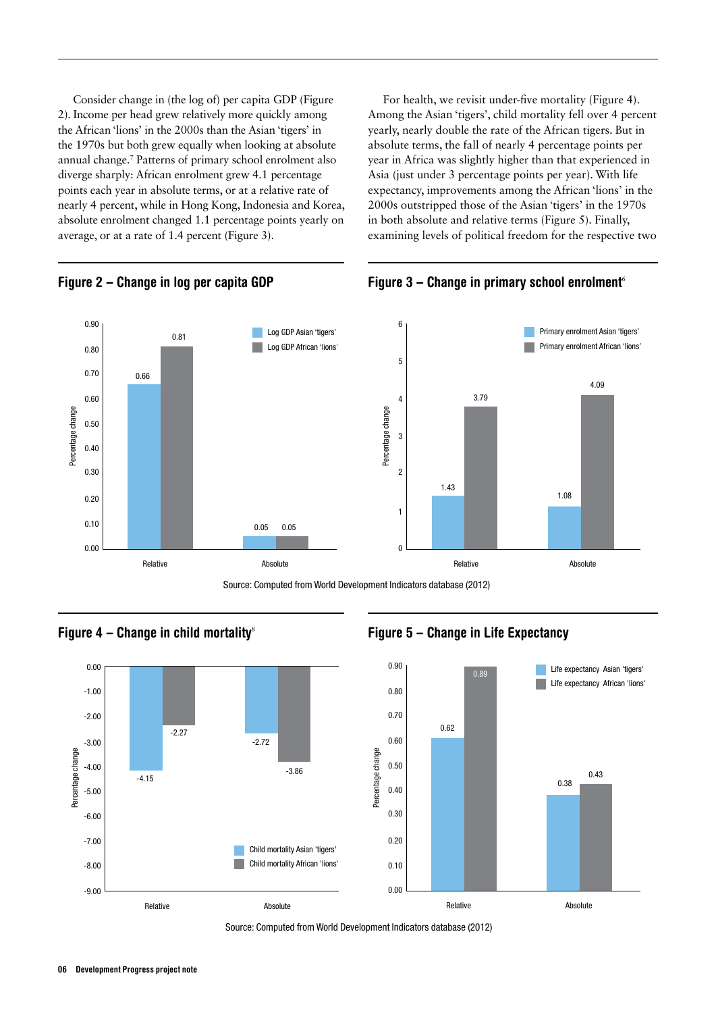Consider change in (the log of) per capita GDP (Figure 2). Income per head grew relatively more quickly among the African 'lions' in the 2000s than the Asian 'tigers' in the 1970s but both grew equally when looking at absolute annual change.7 Patterns of primary school enrolment also diverge sharply: African enrolment grew 4.1 percentage points each year in absolute terms, or at a relative rate of nearly 4 percent, while in Hong Kong, Indonesia and Korea, absolute enrolment changed 1.1 percentage points yearly on average, or at a rate of 1.4 percent (Figure 3).

For health, we revisit under-five mortality (Figure 4). Among the Asian 'tigers', child mortality fell over 4 percent yearly, nearly double the rate of the African tigers. But in absolute terms, the fall of nearly 4 percentage points per year in Africa was slightly higher than that experienced in Asia (just under 3 percentage points per year). With life expectancy, improvements among the African 'lions' in the 2000s outstripped those of the Asian 'tigers' in the 1970s in both absolute and relative terms (Figure 5). Finally, examining levels of political freedom for the respective two



Figure 2 – Change in log per capita GDP Figure 3 – Change in primary school enrolment<sup>6</sup>

Source: Computed from World Development Indicators database (2012)



Source: Computed from World Development Indicators database (2012)

# Figure 4 – Change in child mortality<sup>8</sup> Figure 5 – Change in Life Expectancy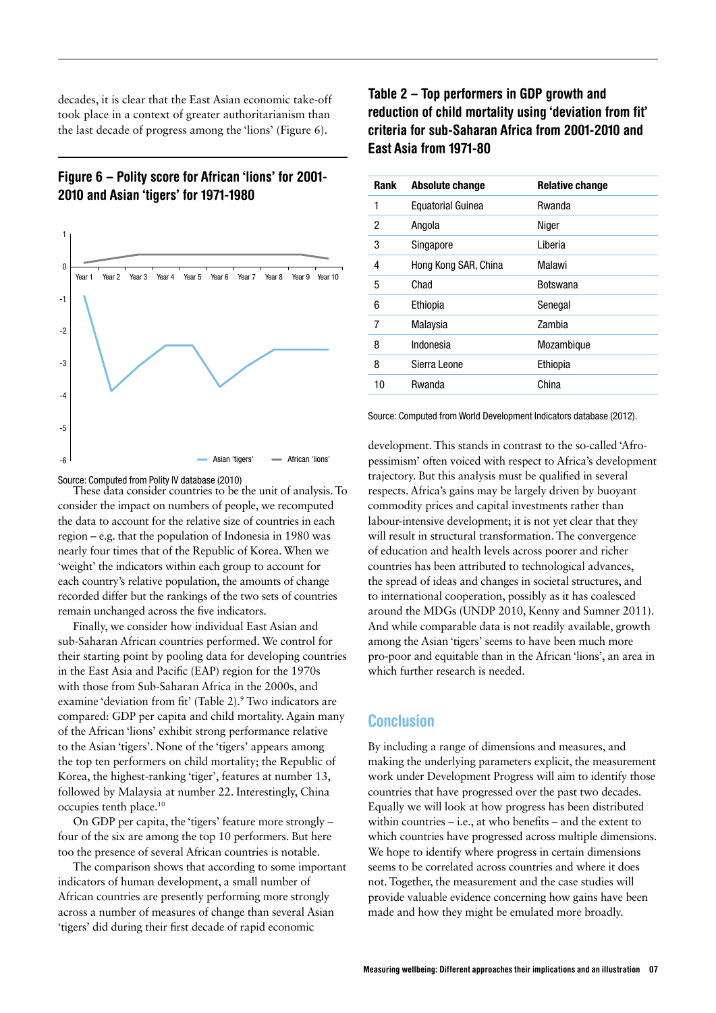decades, it is clear that the East Asian economic take-off took place in a context of greater authoritarianism than the last decade of progress among the 'lions' (Figure 6).

#### Figure 6 – Polity score for African 'lions' for 2001- 2010 and Asian 'tigers' for 1971-1980



#### Source: Computed from Polity IV database (2010)

These data consider countries to be the unit of analysis. To consider the impact on numbers of people, we recomputed the data to account for the relative size of countries in each region – e.g. that the population of Indonesia in 1980 was nearly four times that of the Republic of Korea. When we 'weight' the indicators within each group to account for each country's relative population, the amounts of change recorded differ but the rankings of the two sets of countries remain unchanged across the five indicators.

Finally, we consider how individual East Asian and sub-Saharan African countries performed. We control for their starting point by pooling data for developing countries in the East Asia and Pacific (EAP) region for the 1970s with those from Sub-Saharan Africa in the 2000s, and examine 'deviation from fit' (Table 2).<sup>9</sup> Two indicators are compared: GDP per capita and child mortality. Again many of the African 'lions' exhibit strong performance relative to the Asian 'tigers'. None of the 'tigers' appears among the top ten performers on child mortality; the Republic of Korea, the highest-ranking 'tiger', features at number 13, followed by Malaysia at number 22. Interestingly, China occupies tenth place.10

On GDP per capita, the 'tigers' feature more strongly – four of the six are among the top 10 performers. But here too the presence of several African countries is notable.

The comparison shows that according to some important indicators of human development, a small number of African countries are presently performing more strongly across a number of measures of change than several Asian 'tigers' did during their first decade of rapid economic

### Table 2 – Top performers in GDP growth and reduction of child mortality using 'deviation from fit' criteria for sub-Saharan Africa from 2001-2010 and East Asia from 1971-80

| <b>Rank</b> | Absolute change          | <b>Relative change</b> |
|-------------|--------------------------|------------------------|
| 1           | <b>Equatorial Guinea</b> | <b>Rwanda</b>          |
| 2           | Angola                   | Niger                  |
| 3           | Singapore                | Liberia                |
| 4           | Hong Kong SAR, China     | Malawi                 |
| 5           | Chad                     | Botswana               |
| 6           | Ethiopia                 | Senegal                |
| 7           | Malaysia                 | Zambia                 |
| 8           | Indonesia                | Mozambique             |
| 8           | Sierra Leone             | Ethiopia               |
| 10          | <b>Rwanda</b>            | China                  |
|             |                          |                        |

Source: Computed from World Development Indicators database (2012).

development. This stands in contrast to the so-called 'Afropessimism' often voiced with respect to Africa's development trajectory. But this analysis must be qualified in several respects. Africa's gains may be largely driven by buoyant commodity prices and capital investments rather than labour-intensive development; it is not yet clear that they will result in structural transformation. The convergence of education and health levels across poorer and richer countries has been attributed to technological advances, the spread of ideas and changes in societal structures, and to international cooperation, possibly as it has coalesced around the MDGs (UNDP 2010, Kenny and Sumner 2011). And while comparable data is not readily available, growth among the Asian 'tigers' seems to have been much more pro-poor and equitable than in the African 'lions', an area in which further research is needed.

#### **Conclusion**

By including a range of dimensions and measures, and making the underlying parameters explicit, the measurement work under Development Progress will aim to identify those countries that have progressed over the past two decades. Equally we will look at how progress has been distributed within countries – i.e., at who benefits – and the extent to which countries have progressed across multiple dimensions. We hope to identify where progress in certain dimensions seems to be correlated across countries and where it does not. Together, the measurement and the case studies will provide valuable evidence concerning how gains have been made and how they might be emulated more broadly.